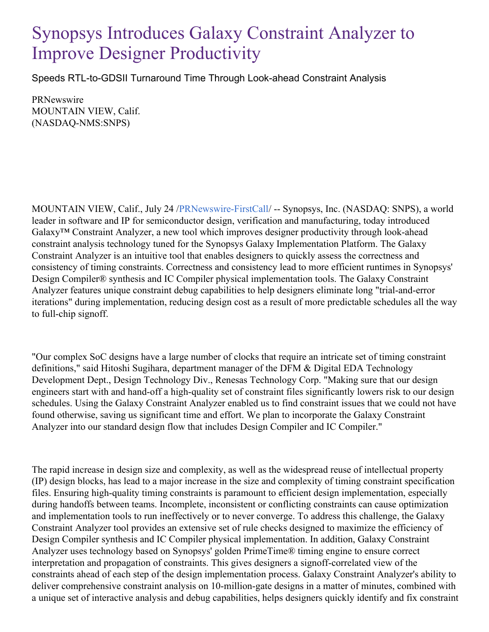## Synopsys Introduces Galaxy Constraint Analyzer to Improve Designer Productivity

Speeds RTL-to-GDSII Turnaround Time Through Look-ahead Constraint Analysis

**PRNewswire** MOUNTAIN VIEW, Calif. (NASDAQ-NMS:SNPS)

MOUNTAIN VIEW, Calif., July 24 [/PRNewswire-FirstCall](http://www.prnewswire.com/)/ -- Synopsys, Inc. (NASDAQ: SNPS), a world leader in software and IP for semiconductor design, verification and manufacturing, today introduced Galaxy™ Constraint Analyzer, a new tool which improves designer productivity through look-ahead constraint analysis technology tuned for the Synopsys Galaxy Implementation Platform. The Galaxy Constraint Analyzer is an intuitive tool that enables designers to quickly assess the correctness and consistency of timing constraints. Correctness and consistency lead to more efficient runtimes in Synopsys' Design Compiler® synthesis and IC Compiler physical implementation tools. The Galaxy Constraint Analyzer features unique constraint debug capabilities to help designers eliminate long "trial-and-error iterations" during implementation, reducing design cost as a result of more predictable schedules all the way to full-chip signoff.

"Our complex SoC designs have a large number of clocks that require an intricate set of timing constraint definitions," said Hitoshi Sugihara, department manager of the DFM & Digital EDA Technology Development Dept., Design Technology Div., Renesas Technology Corp. "Making sure that our design engineers start with and hand-off a high-quality set of constraint files significantly lowers risk to our design schedules. Using the Galaxy Constraint Analyzer enabled us to find constraint issues that we could not have found otherwise, saving us significant time and effort. We plan to incorporate the Galaxy Constraint Analyzer into our standard design flow that includes Design Compiler and IC Compiler."

The rapid increase in design size and complexity, as well as the widespread reuse of intellectual property (IP) design blocks, has lead to a major increase in the size and complexity of timing constraint specification files. Ensuring high-quality timing constraints is paramount to efficient design implementation, especially during handoffs between teams. Incomplete, inconsistent or conflicting constraints can cause optimization and implementation tools to run ineffectively or to never converge. To address this challenge, the Galaxy Constraint Analyzer tool provides an extensive set of rule checks designed to maximize the efficiency of Design Compiler synthesis and IC Compiler physical implementation. In addition, Galaxy Constraint Analyzer uses technology based on Synopsys' golden PrimeTime® timing engine to ensure correct interpretation and propagation of constraints. This gives designers a signoff-correlated view of the constraints ahead of each step of the design implementation process. Galaxy Constraint Analyzer's ability to deliver comprehensive constraint analysis on 10-million-gate designs in a matter of minutes, combined with a unique set of interactive analysis and debug capabilities, helps designers quickly identify and fix constraint